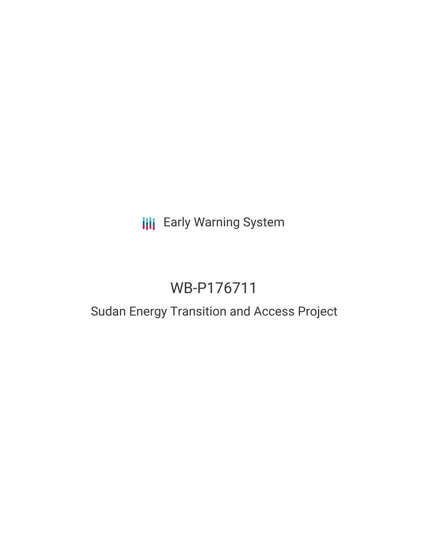**III** Early Warning System

# WB-P176711

## Sudan Energy Transition and Access Project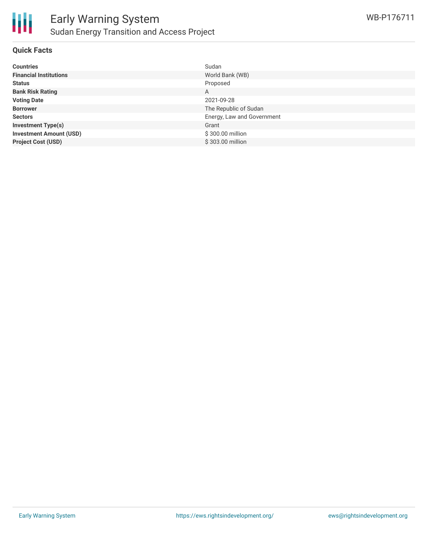

#### **Quick Facts**

| <b>Countries</b>               | Sudan                      |
|--------------------------------|----------------------------|
| <b>Financial Institutions</b>  | World Bank (WB)            |
| <b>Status</b>                  | Proposed                   |
| <b>Bank Risk Rating</b>        | A                          |
| <b>Voting Date</b>             | 2021-09-28                 |
| <b>Borrower</b>                | The Republic of Sudan      |
| <b>Sectors</b>                 | Energy, Law and Government |
| <b>Investment Type(s)</b>      | Grant                      |
| <b>Investment Amount (USD)</b> | \$300.00 million           |
| <b>Project Cost (USD)</b>      | \$303.00 million           |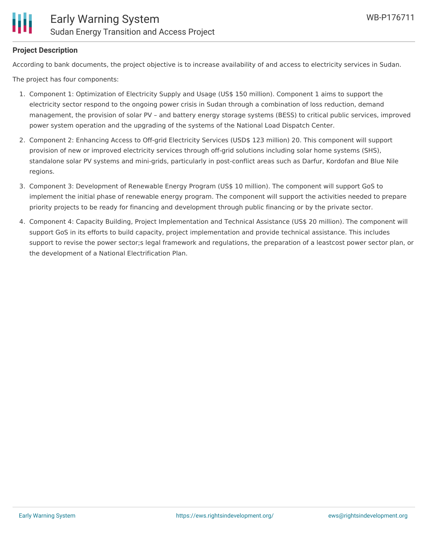

#### **Project Description**

According to bank documents, the project objective is to increase availability of and access to electricity services in Sudan.

The project has four components:

- 1. Component 1: Optimization of Electricity Supply and Usage (US\$ 150 million). Component 1 aims to support the electricity sector respond to the ongoing power crisis in Sudan through a combination of loss reduction, demand management, the provision of solar PV – and battery energy storage systems (BESS) to critical public services, improved power system operation and the upgrading of the systems of the National Load Dispatch Center.
- 2. Component 2: Enhancing Access to Off-grid Electricity Services (USD\$ 123 million) 20. This component will support provision of new or improved electricity services through off-grid solutions including solar home systems (SHS), standalone solar PV systems and mini-grids, particularly in post-conflict areas such as Darfur, Kordofan and Blue Nile regions.
- 3. Component 3: Development of Renewable Energy Program (US\$ 10 million). The component will support GoS to implement the initial phase of renewable energy program. The component will support the activities needed to prepare priority projects to be ready for financing and development through public financing or by the private sector.
- 4. Component 4: Capacity Building, Project Implementation and Technical Assistance (US\$ 20 million). The component will support GoS in its efforts to build capacity, project implementation and provide technical assistance. This includes support to revise the power sector;s legal framework and regulations, the preparation of a leastcost power sector plan, or the development of a National Electrification Plan.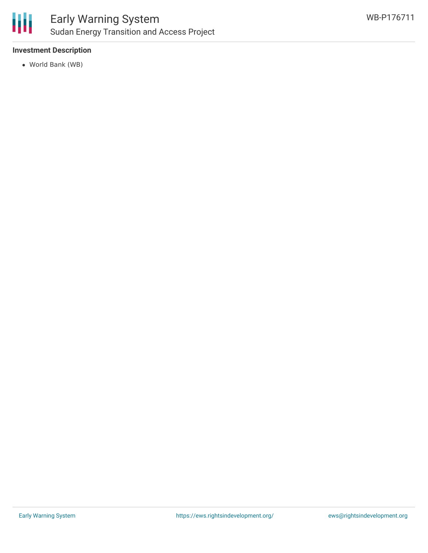

### Early Warning System Sudan Energy Transition and Access Project

#### **Investment Description**

World Bank (WB)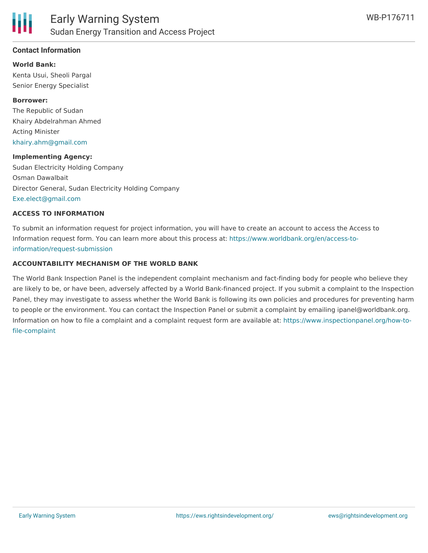

#### **Contact Information**

**World Bank:** Kenta Usui, Sheoli Pargal Senior Energy Specialist

#### **Borrower:**

The Republic of Sudan Khairy Abdelrahman Ahmed Acting Minister [khairy.ahm@gmail.com](mailto:khairy.ahm@gmail.com)

#### **Implementing Agency:**

Sudan Electricity Holding Company Osman Dawalbait Director General, Sudan Electricity Holding Company [Exe.elect@gmail.com](mailto:Exe.elect@gmail.com)

#### **ACCESS TO INFORMATION**

To submit an information request for project information, you will have to create an account to access the Access to Information request form. You can learn more about this process at: [https://www.worldbank.org/en/access-to](https://www.worldbank.org/en/access-to-information/request-submission)information/request-submission

#### **ACCOUNTABILITY MECHANISM OF THE WORLD BANK**

The World Bank Inspection Panel is the independent complaint mechanism and fact-finding body for people who believe they are likely to be, or have been, adversely affected by a World Bank-financed project. If you submit a complaint to the Inspection Panel, they may investigate to assess whether the World Bank is following its own policies and procedures for preventing harm to people or the environment. You can contact the Inspection Panel or submit a complaint by emailing ipanel@worldbank.org. Information on how to file a complaint and a complaint request form are available at: [https://www.inspectionpanel.org/how-to](https://www.inspectionpanel.org/how-to-file-complaint)file-complaint